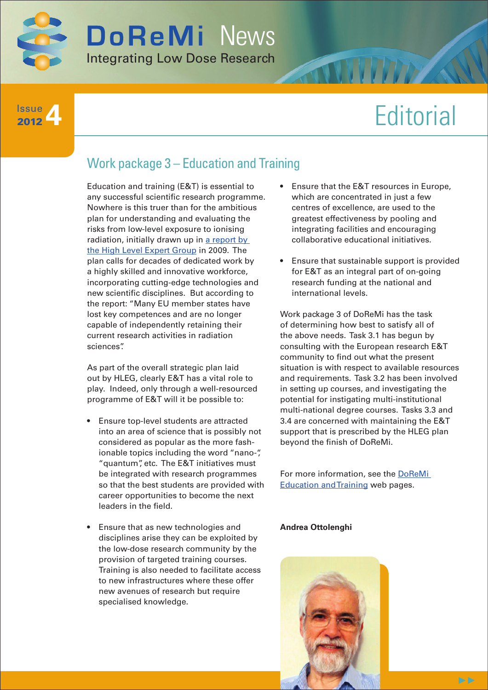

#### **4** Issue 2012

# **Editorial**

## Work package 3 – Education and Training

Education and training (E&T) is essential to any successful scientific research programme. Nowhere is this truer than for the ambitious plan for understanding and evaluating the risks from low-level exposure to ionising radiation, initially drawn up in [a report by](http://www.hleg.de/fr.pdf)  [the High Level Expert Group](http://www.hleg.de/fr.pdf) in 2009. The plan calls for decades of dedicated work by a highly skilled and innovative workforce, incorporating cutting-edge technologies and new scientific disciplines. But according to the report: "Many EU member states have lost key competences and are no longer capable of independently retaining their current research activities in radiation sciences".

As part of the overall strategic plan laid out by HLEG, clearly E&T has a vital role to play. Indeed, only through a well-resourced programme of E&T will it be possible to:

- Ensure top-level students are attracted into an area of science that is possibly not considered as popular as the more fashionable topics including the word "nano-", "quantum", etc. The E&T initiatives must be integrated with research programmes so that the best students are provided with career opportunities to become the next leaders in the field.
- Ensure that as new technologies and disciplines arise they can be exploited by the low-dose research community by the provision of targeted training courses. Training is also needed to facilitate access to new infrastructures where these offer new avenues of research but require specialised knowledge.
- Ensure that the E&T resources in Europe, which are concentrated in just a few centres of excellence, are used to the greatest effectiveness by pooling and integrating facilities and encouraging collaborative educational initiatives.
- Ensure that sustainable support is provided for E&T as an integral part of on-going research funding at the national and international levels.

Work package 3 of DoReMi has the task of determining how best to satisfy all of the above needs. Task 3.1 has begun by consulting with the European research E&T community to find out what the present situation is with respect to available resources and requirements. Task 3.2 has been involved in setting up courses, and investigating the potential for instigating multi-institutional multi-national degree courses. Tasks 3.3 and 3.4 are concerned with maintaining the E&T support that is prescribed by the HLEG plan beyond the finish of DoReMi.

For more information, see the [DoReMi](http://www.doremi-noe.net/training_and_education.html)  [Education and Training](http://www.doremi-noe.net/training_and_education.html) web pages.

#### **Andrea Ottolenghi**